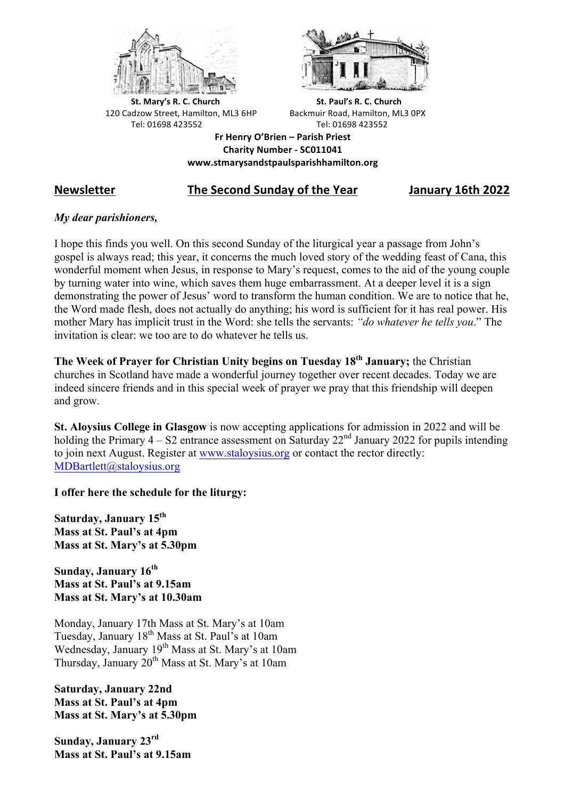



**St.** Mary's R. C. Church St. Paul's R. C. Church 120 Cadzow Street, Hamilton, ML3 6HP Backmuir Road, Hamilton, ML3 0PX Tel: 01698 423552 Tel: 01698 423552

**Fr Henry O'Brien – Parish Priest Charity Number - SC011041 www.stmarysandstpaulsparishhamilton.org**

## **Newsletter The Second Sunday of the Year January 16th 2022**

### *My dear parishioners,*

I hope this finds you well. On this second Sunday of the liturgical year a passage from John's gospel is always read; this year, it concerns the much loved story of the wedding feast of Cana, this wonderful moment when Jesus, in response to Mary's request, comes to the aid of the young couple by turning water into wine, which saves them huge embarrassment. At a deeper level it is a sign demonstrating the power of Jesus' word to transform the human condition. We are to notice that he, the Word made flesh, does not actually do anything; his word is sufficient for it has real power. His mother Mary has implicit trust in the Word: she tells the servants: *"do whatever he tells you*." The invitation is clear: we too are to do whatever he tells us.

**The Week of Prayer for Christian Unity begins on Tuesday 18th January;** the Christian churches in Scotland have made a wonderful journey together over recent decades. Today we are indeed sincere friends and in this special week of prayer we pray that this friendship will deepen and grow.

**St. Aloysius College in Glasgow** is now accepting applications for admission in 2022 and will be holding the Primary  $4 - S2$  entrance assessment on Saturday  $22<sup>nd</sup>$  January 2022 for pupils intending to join next August. Register at www.staloysius.org or contact the rector directly: MDBartlett@staloysius.org

**I offer here the schedule for the liturgy:**

**Saturday, January 15th Mass at St. Paul's at 4pm Mass at St. Mary's at 5.30pm**

Sunday, January 16<sup>th</sup> **Mass at St. Paul's at 9.15am Mass at St. Mary's at 10.30am**

Monday, January 17th Mass at St. Mary's at 10am Tuesday, January 18th Mass at St. Paul's at 10am Wednesday, January 19<sup>th</sup> Mass at St. Mary's at 10am Thursday, January 20<sup>th</sup> Mass at St. Mary's at 10am

**Saturday, January 22nd Mass at St. Paul's at 4pm Mass at St. Mary's at 5.30pm**

**Sunday, January 23rd Mass at St. Paul's at 9.15am**